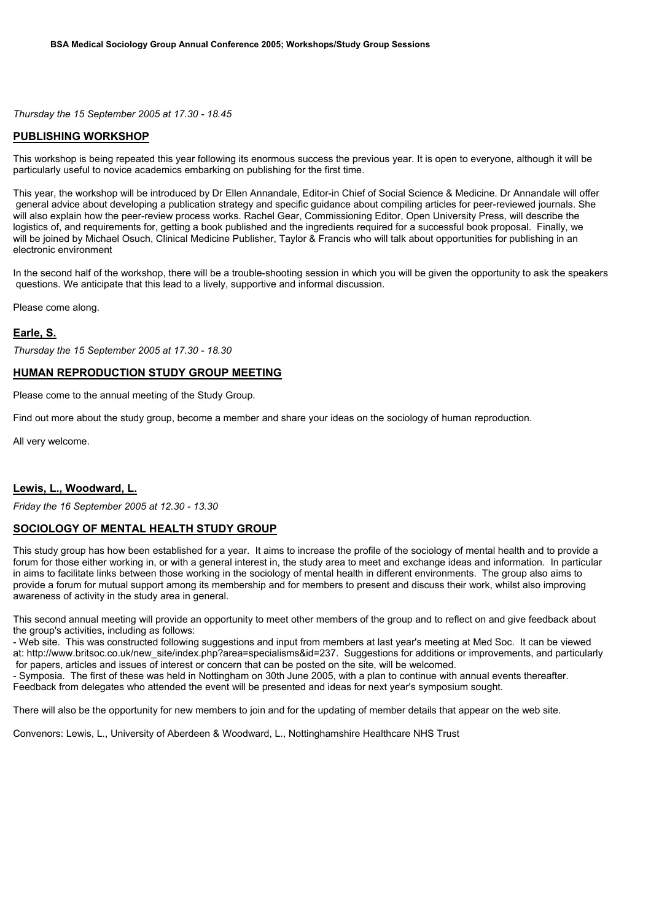*Thursday the 15 September 2005 at 17.30 - 18.45*

## **PUBLISHING WORKSHOP**

This workshop is being repeated this year following its enormous success the previous year. It is open to everyone, although it will be particularly useful to novice academics embarking on publishing for the first time.

This year, the workshop will be introduced by Dr Ellen Annandale, Editor-in Chief of Social Science & Medicine. Dr Annandale will offer general advice about developing a publication strategy and specific guidance about compiling articles for peer-reviewed journals. She will also explain how the peer-review process works. Rachel Gear, Commissioning Editor, Open University Press, will describe the logistics of, and requirements for, getting a book published and the ingredients required for a successful book proposal. Finally, we will be joined by Michael Osuch, Clinical Medicine Publisher, Taylor & Francis who will talk about opportunities for publishing in an electronic environment

In the second half of the workshop, there will be a trouble-shooting session in which you will be given the opportunity to ask the speakers questions. We anticipate that this lead to a lively, supportive and informal discussion.

Please come along.

# **Earle, S.**

*Thursday the 15 September 2005 at 17.30 - 18.30*

## **HUMAN REPRODUCTION STUDY GROUP MEETING**

Please come to the annual meeting of the Study Group.

Find out more about the study group, become a member and share your ideas on the sociology of human reproduction.

All very welcome.

## **Lewis, L., Woodward, L.**

*Friday the 16 September 2005 at 12.30 - 13.30*

#### **SOCIOLOGY OF MENTAL HEALTH STUDY GROUP**

This study group has how been established for a year. It aims to increase the profile of the sociology of mental health and to provide a forum for those either working in, or with a general interest in, the study area to meet and exchange ideas and information. In particular in aims to facilitate links between those working in the sociology of mental health in different environments. The group also aims to provide a forum for mutual support among its membership and for members to present and discuss their work, whilst also improving awareness of activity in the study area in general.

This second annual meeting will provide an opportunity to meet other members of the group and to reflect on and give feedback about the group's activities, including as follows:

- Web site. This was constructed following suggestions and input from members at last year's meeting at Med Soc. It can be viewed at: http://www.britsoc.co.uk/new\_site/index.php?area=specialisms&id=237. Suggestions for additions or improvements, and particularly for papers, articles and issues of interest or concern that can be posted on the site, will be welcomed.

- Symposia. The first of these was held in Nottingham on 30th June 2005, with a plan to continue with annual events thereafter. Feedback from delegates who attended the event will be presented and ideas for next year's symposium sought.

There will also be the opportunity for new members to join and for the updating of member details that appear on the web site.

Convenors: Lewis, L., University of Aberdeen & Woodward, L., Nottinghamshire Healthcare NHS Trust